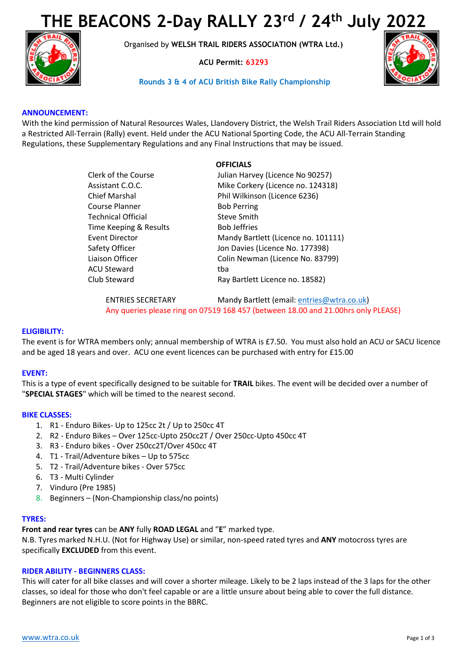# **THE BEACONS 2-Day RALLY 23rd / 24th July 2022**



Organised by **WELSH TRAIL RIDERS ASSOCIATION (WTRA Ltd.)**

**ACU Permit: 63293**

## **Rounds 3 & 4 of ACU British Bike Rally Championship**



## **ANNOUNCEMENT:**

With the kind permission of Natural Resources Wales, Llandovery District, the Welsh Trail Riders Association Ltd will hold a Restricted All-Terrain (Rally) event. Held under the ACU National Sporting Code, the ACU All-Terrain Standing Regulations, these Supplementary Regulations and any Final Instructions that may be issued.

|                        | <b>OFFICIALS</b>                    |
|------------------------|-------------------------------------|
| Clerk of the Course    | Julian Harvey (Licence No 90257)    |
| Assistant C.O.C.       | Mike Corkery (Licence no. 124318)   |
| Chief Marshal          | Phil Wilkinson (Licence 6236)       |
| Course Planner         | <b>Bob Perring</b>                  |
| Technical Official     | Steve Smith                         |
| Time Keeping & Results | <b>Bob Jeffries</b>                 |
| <b>Event Director</b>  | Mandy Bartlett (Licence no. 101111) |
| Safety Officer         | Jon Davies (Licence No. 177398)     |
| Liaison Officer        | Colin Newman (Licence No. 83799)    |
| ACU Steward            | tba                                 |
| Club Steward           | Ray Bartlett Licence no. 18582)     |
|                        |                                     |

ENTRIES SECRETARY Mandy Bartlett (email: [entries@wtra.co.uk\)](mailto:entries@wtra.co.uk) Any queries please ring on 07519 168 457 (between 18.00 and 21.00hrs only PLEASE)

### **ELIGIBILITY:**

The event is for WTRA members only; annual membership of WTRA is £7.50. You must also hold an ACU or SACU licence and be aged 18 years and over. ACU one event licences can be purchased with entry for £15.00

### **EVENT:**

This is a type of event specifically designed to be suitable for **TRAIL** bikes. The event will be decided over a number of "**SPECIAL STAGES**" which will be timed to the nearest second.

### **BIKE CLASSES:**

- 1. R1 Enduro Bikes- Up to 125cc 2t / Up to 250cc 4T
- 2. R2 Enduro Bikes Over 125cc-Upto 250cc2T / Over 250cc-Upto 450cc 4T
- 3. R3 Enduro bikes Over 250cc2T/Over 450cc 4T
- 4. T1 Trail/Adventure bikes Up to 575cc
- 5. T2 Trail/Adventure bikes Over 575cc
- 6. T3 Multi Cylinder
- 7. Vinduro (Pre 1985)
- 8. Beginners (Non-Championship class/no points)

### **TYRES:**

**Front and rear tyres** can be **ANY** fully **ROAD LEGAL** and "**E**" marked type.

N.B. Tyres marked N.H.U. (Not for Highway Use) or similar, non-speed rated tyres and **ANY** motocross tyres are specifically **EXCLUDED** from this event.

### **RIDER ABILITY - BEGINNERS CLASS:**

This will cater for all bike classes and will cover a shorter mileage. Likely to be 2 laps instead of the 3 laps for the other classes, so ideal for those who don't feel capable or are a little unsure about being able to cover the full distance. Beginners are not eligible to score points in the BBRC.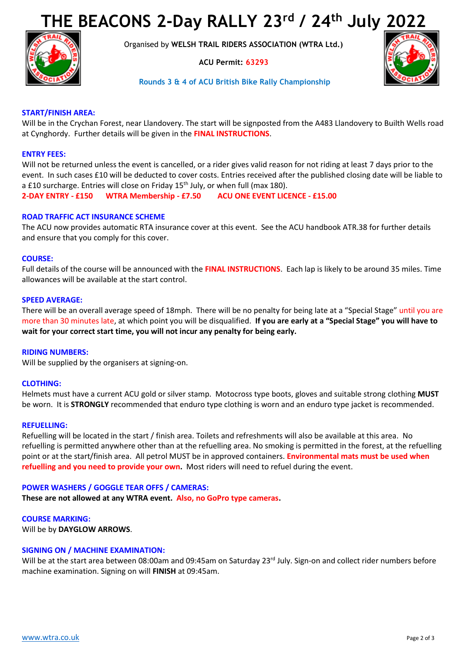# **THE BEACONS 2-Day RALLY 23rd / 24th July 2022**



Organised by **WELSH TRAIL RIDERS ASSOCIATION (WTRA Ltd.)**

**ACU Permit: 63293**



## **Rounds 3 & 4 of ACU British Bike Rally Championship**

## **START/FINISH AREA:**

Will be in the Crychan Forest, near Llandovery. The start will be signposted from the A483 Llandovery to Builth Wells road at Cynghordy. Further details will be given in the **FINAL INSTRUCTIONS**.

## **ENTRY FEES:**

Will not be returned unless the event is cancelled, or a rider gives valid reason for not riding at least 7 days prior to the event. In such cases £10 will be deducted to cover costs. Entries received after the published closing date will be liable to a £10 surcharge. Entries will close on Friday  $15<sup>th</sup>$  July, or when full (max 180).

**2-DAY ENTRY - £150 WTRA Membership - £7.50 ACU ONE EVENT LICENCE - £15.00**

## **ROAD TRAFFIC ACT INSURANCE SCHEME**

The ACU now provides automatic RTA insurance cover at this event. See the ACU handbook ATR.38 for further details and ensure that you comply for this cover.

### **COURSE:**

Full details of the course will be announced with the **FINAL INSTRUCTIONS**. Each lap is likely to be around 35 miles. Time allowances will be available at the start control.

### **SPEED AVERAGE:**

There will be an overall average speed of 18mph. There will be no penalty for being late at a "Special Stage" until you are more than 30 minutes late, at which point you will be disqualified. **If you are early at a "Special Stage" you will have to wait for your correct start time, you will not incur any penalty for being early.**

### **RIDING NUMBERS:**

Will be supplied by the organisers at signing-on.

### **CLOTHING:**

Helmets must have a current ACU gold or silver stamp. Motocross type boots, gloves and suitable strong clothing **MUST**  be worn. It is **STRONGLY** recommended that enduro type clothing is worn and an enduro type jacket is recommended.

#### **REFUELLING:**

Refuelling will be located in the start / finish area. Toilets and refreshments will also be available at this area. No refuelling is permitted anywhere other than at the refuelling area. No smoking is permitted in the forest, at the refuelling point or at the start/finish area. All petrol MUST be in approved containers. **Environmental mats must be used when refuelling and you need to provide your own.** Most riders will need to refuel during the event.

### **POWER WASHERS / GOGGLE TEAR OFFS / CAMERAS:**

**These are not allowed at any WTRA event. Also, no GoPro type cameras.**

### **COURSE MARKING:**

Will be by **DAYGLOW ARROWS**.

### **SIGNING ON / MACHINE EXAMINATION:**

Will be at the start area between 08:00am and 09:45am on Saturday 23<sup>rd</sup> July. Sign-on and collect rider numbers before machine examination. Signing on will **FINISH** at 09:45am.